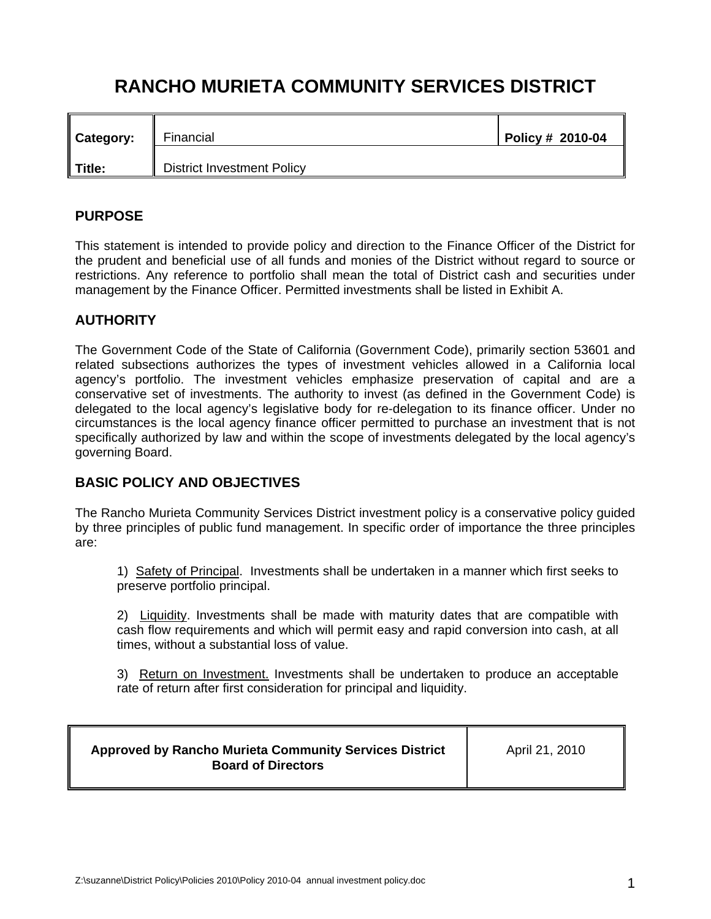# **RANCHO MURIETA COMMUNITY SERVICES DISTRICT**

| Category: | Financial                         | Policy # 2010-04 |
|-----------|-----------------------------------|------------------|
| Title:    | <b>District Investment Policy</b> |                  |

## **PURPOSE**

This statement is intended to provide policy and direction to the Finance Officer of the District for the prudent and beneficial use of all funds and monies of the District without regard to source or restrictions. Any reference to portfolio shall mean the total of District cash and securities under management by the Finance Officer. Permitted investments shall be listed in Exhibit A.

# **AUTHORITY**

The Government Code of the State of California (Government Code), primarily section 53601 and related subsections authorizes the types of investment vehicles allowed in a California local agency's portfolio. The investment vehicles emphasize preservation of capital and are a conservative set of investments. The authority to invest (as defined in the Government Code) is delegated to the local agency's legislative body for re-delegation to its finance officer. Under no circumstances is the local agency finance officer permitted to purchase an investment that is not specifically authorized by law and within the scope of investments delegated by the local agency's governing Board.

## **BASIC POLICY AND OBJECTIVES**

The Rancho Murieta Community Services District investment policy is a conservative policy guided by three principles of public fund management. In specific order of importance the three principles are:

1) Safety of Principal. Investments shall be undertaken in a manner which first seeks to preserve portfolio principal.

2) Liquidity. Investments shall be made with maturity dates that are compatible with cash flow requirements and which will permit easy and rapid conversion into cash, at all times, without a substantial loss of value.

3) Return on Investment. Investments shall be undertaken to produce an acceptable rate of return after first consideration for principal and liquidity.

| <b>Approved by Rancho Murieta Community Services District</b><br><b>Board of Directors</b> | April 21, 2010 |
|--------------------------------------------------------------------------------------------|----------------|
|                                                                                            |                |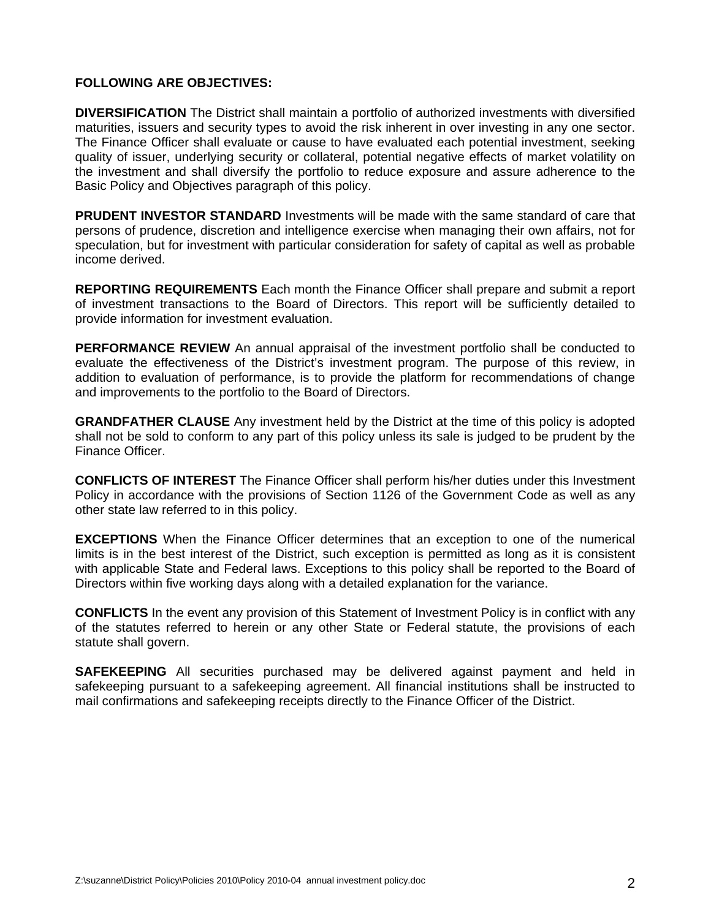#### **FOLLOWING ARE OBJECTIVES:**

**DIVERSIFICATION** The District shall maintain a portfolio of authorized investments with diversified maturities, issuers and security types to avoid the risk inherent in over investing in any one sector. The Finance Officer shall evaluate or cause to have evaluated each potential investment, seeking quality of issuer, underlying security or collateral, potential negative effects of market volatility on the investment and shall diversify the portfolio to reduce exposure and assure adherence to the Basic Policy and Objectives paragraph of this policy.

**PRUDENT INVESTOR STANDARD** Investments will be made with the same standard of care that persons of prudence, discretion and intelligence exercise when managing their own affairs, not for speculation, but for investment with particular consideration for safety of capital as well as probable income derived.

**REPORTING REQUIREMENTS** Each month the Finance Officer shall prepare and submit a report of investment transactions to the Board of Directors. This report will be sufficiently detailed to provide information for investment evaluation.

**PERFORMANCE REVIEW** An annual appraisal of the investment portfolio shall be conducted to evaluate the effectiveness of the District's investment program. The purpose of this review, in addition to evaluation of performance, is to provide the platform for recommendations of change and improvements to the portfolio to the Board of Directors.

**GRANDFATHER CLAUSE** Any investment held by the District at the time of this policy is adopted shall not be sold to conform to any part of this policy unless its sale is judged to be prudent by the Finance Officer.

**CONFLICTS OF INTEREST** The Finance Officer shall perform his/her duties under this Investment Policy in accordance with the provisions of Section 1126 of the Government Code as well as any other state law referred to in this policy.

**EXCEPTIONS** When the Finance Officer determines that an exception to one of the numerical limits is in the best interest of the District, such exception is permitted as long as it is consistent with applicable State and Federal laws. Exceptions to this policy shall be reported to the Board of Directors within five working days along with a detailed explanation for the variance.

**CONFLICTS** In the event any provision of this Statement of Investment Policy is in conflict with any of the statutes referred to herein or any other State or Federal statute, the provisions of each statute shall govern.

**SAFEKEEPING** All securities purchased may be delivered against payment and held in safekeeping pursuant to a safekeeping agreement. All financial institutions shall be instructed to mail confirmations and safekeeping receipts directly to the Finance Officer of the District.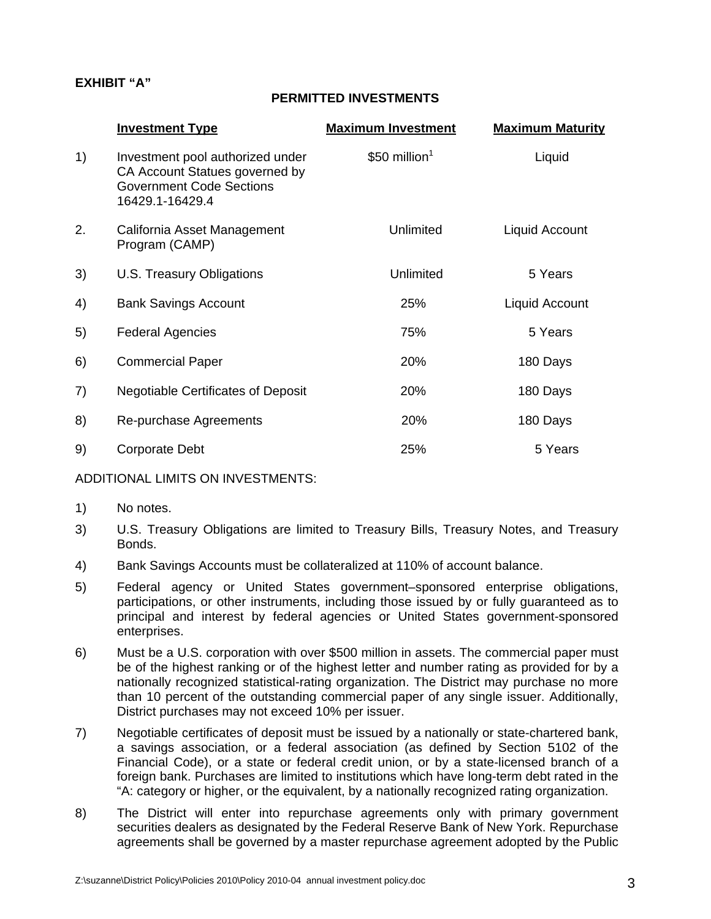## **EXHIBIT "A"**

## **PERMITTED INVESTMENTS**

|    | <b>Investment Type</b>                                                                                                   | <b>Maximum Investment</b> | <b>Maximum Maturity</b> |
|----|--------------------------------------------------------------------------------------------------------------------------|---------------------------|-------------------------|
| 1) | Investment pool authorized under<br>CA Account Statues governed by<br><b>Government Code Sections</b><br>16429.1-16429.4 | \$50 million $1$          | Liquid                  |
| 2. | California Asset Management<br>Program (CAMP)                                                                            | Unlimited                 | Liquid Account          |
| 3) | U.S. Treasury Obligations                                                                                                | Unlimited                 | 5 Years                 |
| 4) | <b>Bank Savings Account</b>                                                                                              | 25%                       | Liquid Account          |
| 5) | <b>Federal Agencies</b>                                                                                                  | 75%                       | 5 Years                 |
| 6) | <b>Commercial Paper</b>                                                                                                  | 20%                       | 180 Days                |
| 7) | <b>Negotiable Certificates of Deposit</b>                                                                                | 20%                       | 180 Days                |
| 8) | Re-purchase Agreements                                                                                                   | 20%                       | 180 Days                |
| 9) | Corporate Debt                                                                                                           | 25%                       | 5 Years                 |

#### ADDITIONAL LIMITS ON INVESTMENTS:

- 1) No notes.
- 3) U.S. Treasury Obligations are limited to Treasury Bills, Treasury Notes, and Treasury Bonds.
- 4) Bank Savings Accounts must be collateralized at 110% of account balance.
- 5) Federal agency or United States government–sponsored enterprise obligations, participations, or other instruments, including those issued by or fully guaranteed as to principal and interest by federal agencies or United States government-sponsored enterprises.
- 6) Must be a U.S. corporation with over \$500 million in assets. The commercial paper must be of the highest ranking or of the highest letter and number rating as provided for by a nationally recognized statistical-rating organization. The District may purchase no more than 10 percent of the outstanding commercial paper of any single issuer. Additionally, District purchases may not exceed 10% per issuer.
- 7) Negotiable certificates of deposit must be issued by a nationally or state-chartered bank, a savings association, or a federal association (as defined by Section 5102 of the Financial Code), or a state or federal credit union, or by a state-licensed branch of a foreign bank. Purchases are limited to institutions which have long-term debt rated in the "A: category or higher, or the equivalent, by a nationally recognized rating organization.
- 8) The District will enter into repurchase agreements only with primary government securities dealers as designated by the Federal Reserve Bank of New York. Repurchase agreements shall be governed by a master repurchase agreement adopted by the Public